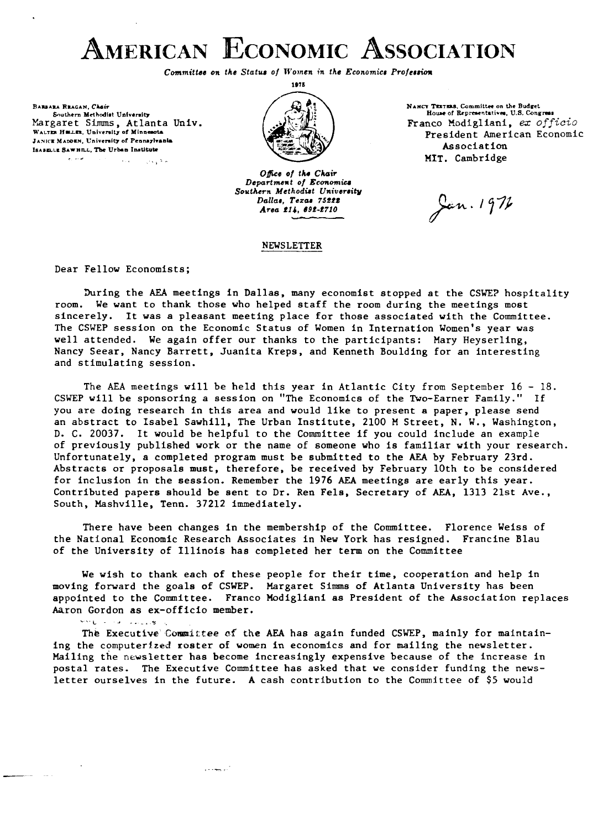### AMERICAN ECONOMIC ASSOCIATION

*Committee on the Status of Women in the Economics Profession* 

**BARRARA REAGAN Chair** Southern Methodist University Margaret Simms, Atlanta Univ. WALTER HELLER, University of Minnesota JANICE MADDEN, University of Pennsylvania ISABELLE SAWHILL, The Urban Institute المتعارض  $\sim 10^{-1}$ 

مالان ول



Office of the Chair *Departmum t of Econmiu Southern Mcthodut Univerrity Dallar, Tezw 75bZf*  Area 214, 692-2710

#### NEWSLETTER

**NANCY TESTERS.** Committee on the Budget House of Representatives, U.S. Congress Franco Modigliani, ex officio President American Economic Association HIT. Cambridge

Jen. 1972

Dear Fellov Economists;

During the **AEA** meetings in Dallas, many economist stopped at the CSWEP hospitality room. We vant to thank those vho helped staff the room during the meetings most sincerely. It was a pleasant meeting place for those associated vith the Committee. The CSWEP session on the Economic Status of Women in Internation Women's year vas vell attended. We again offer our thanks to the participants: Mary Heyserling, Nancy Seear, Nancy Barrett, Juanita Kreps, and Kenneth Boulding for an interesting and stimulating session.

The AEA meetings will be held this year in Atlantic City from September 16 - 18. CSWEP vill be sponsoring a session on "The Economics of the Two-Earner Family." If you are doing research in this area and would like to present a paper, please send an abstract to Isabel Sawhill, The Urban Institute, 2100 M Street, N. W., Washington, D. C. 20037. It would be helpful to the Committee if you could include an example of previously published work or the name of someone who is familiar with your research. Unfortunately, a completed program must be submitted to the **AEA** by February 23rd. Abstracts or proposals must, therefore, be received by February 10th to be considered for inclusion in the session. Remember the 1976 AEA meetings are early this year. Contributed papers should be sent to Dr. Ren Fels, Secretary of AEA, 1313 21st Ave., South, Mashville, Tenn. 37212 immediately.

There have been changes in the membership of the Committee. Florence Weiss of the National Economic Research Associates in New York has resigned. Francine Blau of the University of Illinois has completed her term on the Committee

We wish to thank each of these people for their time, cooperation and help in moving forward the goals of CSWEP. Margaret Simms of Atlanta University has been appointed to the Committee. Franco Hodigliani as President of the Association replaces Aaron Gordon as ex-officio member.<br>
Subset of the *S*<sub>-1</sub>

The Executive Committee of the AEA has again funded CSWEP, mainly for maintaining the computerized roster of women in economics and for mailing the nevsletter. Mailing the newsletter has become increasingly expensive because of the increase in postal rates. The Executive Committee has asked that ve consider funding the newsletter ourselves in the future. A cash contribution to the Committee of \$5 vould

أأدو يبيعاء والأ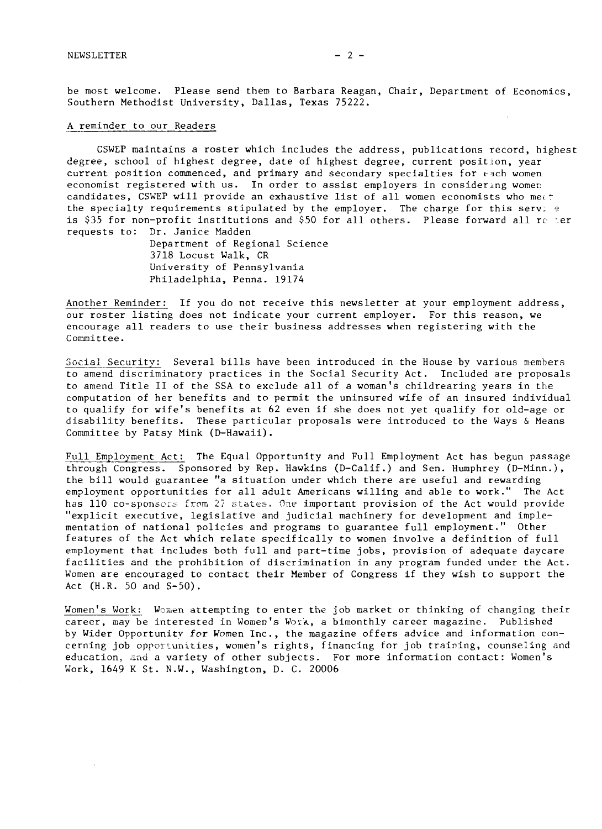be most welcome. Please send them to Barbara Reagan, Chair, Department of Economics, Southern Methodist University, Dallas, Texas 75222.

#### A reminder to our Readers

CSWEP maintains a roster which includes the address, publications record, highest degree, school of highest degree, date of highest degree, current position, year current position commenced, and primary and secondary specialties for each women economist registered with us. In order to assist employers in considering women candidates, CSWEP will provide an exhaustive list of all women economists who meet the specialty requirements stipulated by the employer. The charge for this serv;  $e$ is \$35 for non-profit institutions and \$50 for all others. Please forward all  $rc$  ter requests to: Dr. Janice Madden

> Department of Regional Science 3718 Locust Walk, CR University of Pennsylvania Philadelphia, Penna. 19174

Another Reminder: If you do not receive this newsletter at your employment address, our roster listing does not indicate your current employer. For this reason, we encourage all readers to use their business addresses when registering with the Committee.

Social Security: Several bills have been introduced in the House by various members to amend discriminatory practices in the Social Security Act. Included are proposals to amend Title I1 of the SSA to exclude all of a woman's childrearing years in the computation of her benefits and to permit the uninsured wife of an insured individual to qualify for wife's benefits at 62 even if she does not yet qualify for old-age or disability benefits. These particular proposals were introduced to the Ways & Means Committee by Patsy Mink (D-Hawaii).

Full Employment Act: The Equal Opportunity and Full Employment Act has begun passage through Congress. Sponsored by Rep. Hawkins (D-Calif.) and Sen. Humphrey (D-Minn.), the bill would guarantee "a situation under which there are useful and rewarding employment opportunities for all adult Americans willing and able to work.'' The Act has 110 co-sponsors from 27 states. One important provision of the Act would provide "explicit executive, legislative and judicial machinery for development and implementation of national policies and programs to guarantee full employment." Other features of the Act which relate specifically to women involve a definition of full employment that includes both full and part-time jobs, provision of adequate daycare facilities and the prohibition of discrimination in any program funded under the Act. Women are encouraged to contact their Member of Congress if they wish to support the Act (H.R. 50 and S-50).

Women's Work: Women attempting to enter the job market or thinking of changing their career, may be interested in Women's Work, a bimonthly career magazine. Published by Wider Opportunity for Women Inc., the magazine offers advice and information concerning job opportunities, women's rights, financing for job training, counseling and education, and a variety of other subjects. For more information contact: Women's Work, 1649 K St. N.W., Washington, D. C. 20006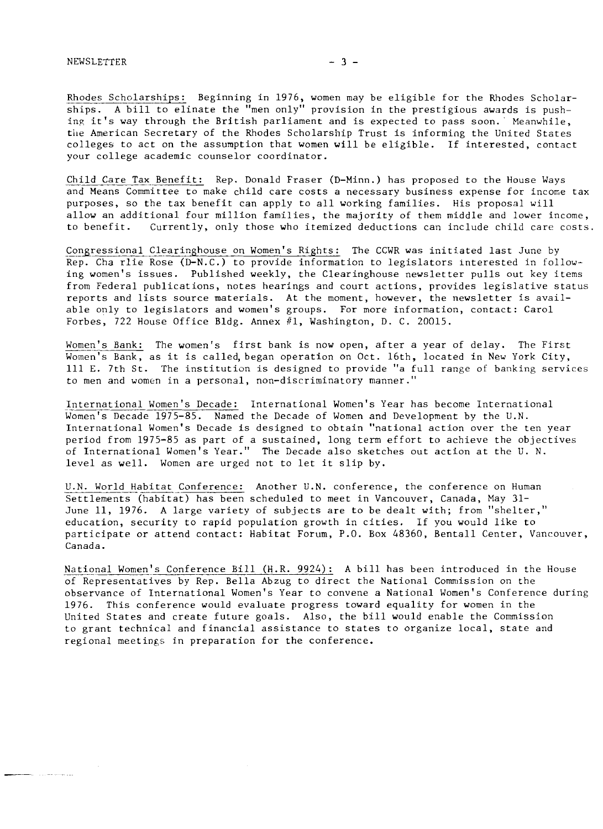Rhodes Scholarships: Beginning in 1976, women may be eligible for the Rhodes Scholarships. A bill to elinate the "men only" provision in the prestigious awards is pushing it's way through the British parliament and is expected to pass soon. Meanwhile, the American Secretary of the Rhodes Scholarship Trust is informing the United States colleges to act on the assumption that women will be eligible. If interested, contact your college academic counselor coordinator.

Child Care Tax Benefit: Rep. Donald Fraser (D-Minn.) has proposed to the House Ways and Means Committee to make child care costs a necessary business expense for incone tax purposes, so the tax benefit can apply to all working families. His proposal will allow an additional four million families, the majority of them middle and lower income, to benefit. Currently, only those who itemized deductions can include child care costs

Congressional Clearinghouse on Women's Rights: The CCWR was initiated last June by Rep. Cha rlie Rose (D-N. C.) to provide information to legislators interested in following women's issues. Published weekly, the Clearinghouse newsletter pulls out key items from Federal publications, notes hearings and court actions, provides legislative status reports and lists source materials. At the moment, however, the newsletter is available only to legislators and women's groups. For more information, contact: Carol Forbes, 722 House Office Bldg. Annex #l, Washington, D. C. 20015.

Women's Bank: The women's first bank is now open, after a year of delay. The First Women's Bank, as it is called, began operation on Oct. 16th, located in New York City, 111 E. 7th St. The institution is designed to provide "a full range of banking services to men and women in a personal, non-discriminatory manner."

International Women's Decade: International Women's Year has become International Women's Decade 1975-85. Named the Decade of Women and Development by the U.N. International Women's Decade is designed to obtain "national action over the ten year period from 1975-85 as part of a sustained, long term effort to achieve the objectives of International Women's Year." The Decade also sketches out action at the U. N. level as well. Women are urged not to let it slip by.

U.N. World Habitat Conference: Another U.N. conference, the conference on Human Settlements (habitat) has been scheduled to meet in Vancouver, Canada, May 31- June 11, 1976. A large variety of subjects are to be dealt with; from "shelter," education, security to rapid population growth in cities. If you would like to participate or attend contact: Habitat Forum, P.O. Box 48360, Bentall Center, Vancouver, Canada.

National Women's Conference Bill (H.R. 9924): A bill has been introduced in the House of Representatives by Rep. Bella Abzug to direct the National Commission on the observance of International Women's Year to convene a National Women's Conference during 1976. This conference would evaluate progress toward equality for women in the United States and create future goals. Also, the bill would enable the Commission to grant technical and financial assistance to states to organize local, state and regional meetings in preparation for the conference.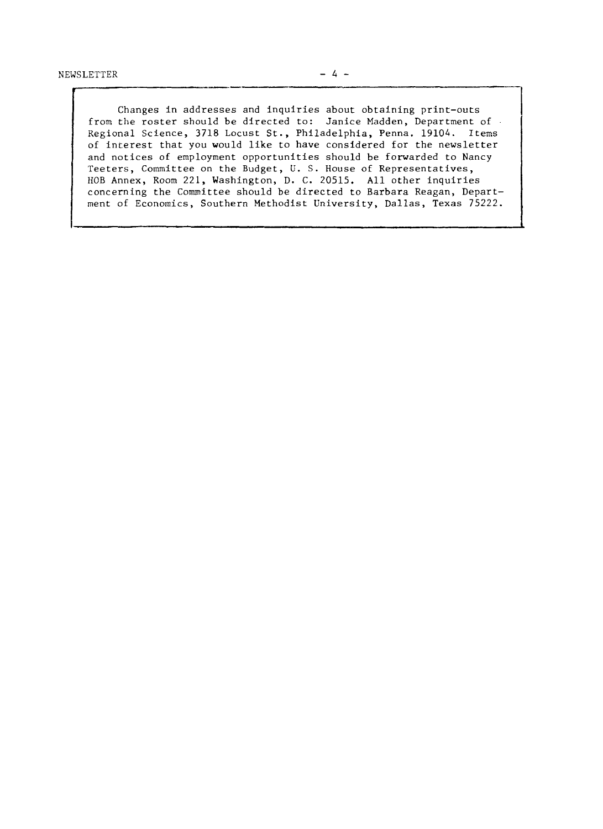**t** 

Changes in addresses and inquiries about obtaining print-outs from the roster should be directed to: Janice Madden, Department of Regional Science, 3718 Locust St., Philadelphia, Penna. 19104. Items of inrerest that you would like to have considered for the newsletter and notices of employment opportunities should be forwarded to Nancy Teeters, Committee on the Budget, **U.** S. House of Representatives, HOB Annex, Room 221, Washington, D. C. 20515. All other inquiries concerning the Committee should be directed to Barbara Reagan, Department of Economics, Southern Methodist University, Dallas, Texas 75222.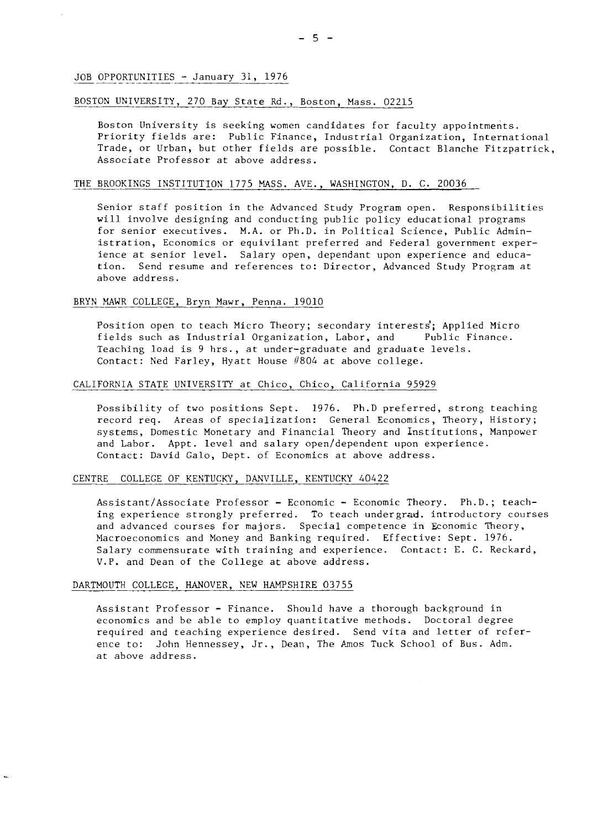#### BOSTON UNIVERSITY, 270 Bay State Rd., Boston, Mass. 02215

Boston University is seeking women candidates for faculty appointments. Priority fields are: Public Finance, Industrial Organization, International Trade, or Urban, but other fields are possible. Contact Blanche Fitzpatrick, Associate Professor at above address.

#### THE BROOKINGS INSTITUTION 1775 MASS. AVE., WASHINGTON, D. C. 20036

Senior staff position in the Advanced Study Program open. Responsibilities will involve designing and conducting public policy educational programs for senior executives. M.A. or Ph.D. in Political Science, Public Administration, Economics or equivilant preferred and Federal government experience at senior level. Salary open, dependant upon experience and education. Send resume and references to: Director, Advanced Study Program at above address.

### ah<br>BRYN M BRYN MAWR COLLEGE, Bryn Mawr, Penna. 19010

Position open to teach Micro Theory; secondary interests'; Applied Micro fields such as Industrial Organization, Labor, and Public Finance. Teaching load is 9 hrs., at under-graduate and graduate levels. Contact: Ned Farley, Hyatt House #804 at above college.

#### CALIFORNIA STATE UNIVERSITY at Chico, Chico, California 95929

Possibility of two positions Sept. 1976. Ph.D preferred, strong teaching record req. Areas of specialization: General Economics, Theory, History; systems, Domestic Monetary and Financial Theory and Institutions, Manpower and Labor. Appt. level and salary open/dependent upon experience. Contact: David Galo, Dept. of Economics at above address.

#### CENTRE COLLEGE OF KENTUCKY, DANVILLE, KENTUCKY 40422

Assistant/Associate Professor - Economic - Economic Theory. Ph.D.; teaching experience strongly preferred. To teach undergrad. introductory courses and advanced courses for majors. Special competence in Economic Theory, Macroeconomics and Money and Banking required. Effective: Sept. 1976. Salary commensurate with training and experience. Contact: E. C. Reckard, V.P. and Dean of the College at above address.

#### DARTMOUTH COLLEGE, HANOVER, NEW HAMPSHIRE 03755

Assistant Professor - Finance. Should have a thorough background in economics and be able to employ quantitative methods. Doctoral degree required and teaching experience desired. Send vita and letter of reference to: John Hennessey, Jr., Dean, The Amos Tuck School of Bus. Adm. at above address.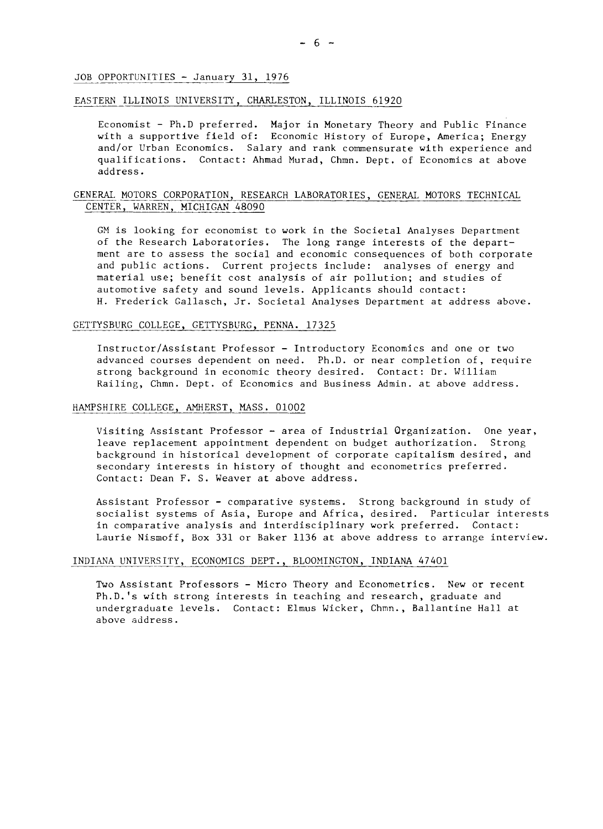#### EASTERN ILLINOIS UNIVERSITY, CHARLESTON, ILLINOIS 61920

Economist - Ph.D preferred. Major in Monetary Theory and Public Finance with a supportive field of: Economic History of Europe, America; Energy and/or Urban Economics. Salary and rank commensurate with experience and qualifications. Contact: Ahmad Murad, Chmn. Dept. of Economics at above address.

#### GENERAL MOTORS CORPORATION, RESEARCH LABORATORIES, GENERAL MOTORS TECHNICAL CENTER, WARREN, MICHIGAN 48090

GM is looking for economist to work in the Societal Analyses Department of the Research Laboratories. The long range interests of the department are to assess the social and economic consequences of both corporate and public actions. Current projects include: analyses of energy and material use; benefit cost analysis of air pollution; and studies of automotive safety and sound levels. Applicants should contact: H. Frederick Gallasch, Jr. Societal Analyses Department at address above.

#### GETTYSBURG COLLEGE, GETTYSBURG, PENNA. 17325

Instructor/Assistant Professor - Introductory Economics and one or two advanced courses dependent on need. Ph.D. or near completion of, require strong background in economic theory desired. Contact: Dr. William Railing, Chmn. Dept. of Economics and Business Admin. at above address.

#### HAMPSHIRE COLLEGE, AMHERST, MASS. 01002

Visiting Assistant Professor - area of Industrial Organization. One year, leave replacement appointment dependent on budget authorization. Strong background in historical development of corporate capitalism desired, and secondary interests in history of thought and econometrics preferred. Contact: Dean F. S. Weaver at above address.

Assistant Professor - comparative systems. Strong background in study of socialist systems of Asia, Europe and Africa, desired. Particular interests in comparative analysis and interdisciplinary work preferred. Contact: Laurie Nismoff, Box 331 or Baker 1136 at above address to arrange interview.

#### INDIANA UNIVERSITY, ECONOMICS DEPT., BLOOMINGTON, INDIANA 47401

Two Assistant Professors - Micro Theory and Econometrics. New or recent Ph.D.'s with strong interests in teaching and research, graduate and undergraduate levels. Contact: Elmus Wicker, Chmn., Ballantine Hall at above address.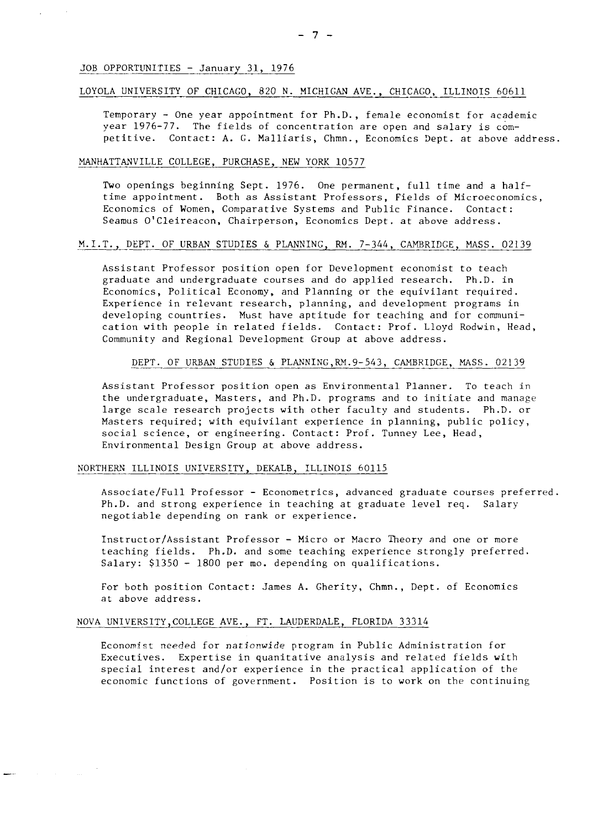# - 7 -<br>JOB OPPORTUNITIES - January 31, 1976

#### LOYOLA UNIVERSITY OF CHICAGO, 820 N. MICHIGAN AVE., CHICAGO, ILLINOIS 60611

Temporary - One year appointment for Ph.D., female economist for academic year 1976-77. The fields of concentration are open and salary is competitive. Contact: A. G. Malliaris, Chmn., Economics 3ept. at above address. Temporary - One year appointment for Ph.D., f<br>year 1976-77. The fields of concentration ar<br>petitive. Contact: A. G. Malliaris, Chmn., E<br>MANHATTANVILLE COLLEGE, PURCHASE, NEW YORK 10577<br>Two openings beginning Sent 1976 0pe

Two openings beginning Sept. 1976. One permanent, full time and a halftime appointment. Both as Assistant Professors, Fields of Microeconomics, Economics of Women, Comparative Systems and Public Finance. Contact: Seamus O'Cleireacon. Chairperson, Economics Dept. at above address.

#### M.I.T., DEPT. OF URBAN STUDIES & PLANNING, RM. 7-344, CAMBRIDGE, MASS. 02139

Assistant Professor position open for Development economist to teach graduate and undergraduate courses and do applied research. Ph.D. in Economics, Political Economy, and Planning or the equivilant required. Experience in relevant research, planning, and development programs in developing countries. Must have aptitude for teaching and for communication with people in related fields. Contact: Prof. Lloyd Rodwin, Head,<br>Community and Regional Development Group at above address.<br>DEPT. OF URBAN STUDIES & PLANNING,RM.9-543, CAMBRIDGE, MASS. 02139 Community and Regional Development Group at above address.

Assistant Professor position open as Environmental Planner. To teach in the undergraduate, Masters, and Ph.D. programs and to initiate and manage large scale research projects with other faculty and students. Ph.D. or Masters required; with equivilant experience in planning, public policy, social science, or engineering. Contact: Prof. Tunney Lee, Head, Environmental Design Group at above address.

#### NORTHERN ILLINOIS UNIVERSITY, DEKALB, ILLINOIS 60115

Associate/Full Professor - Econometrics, advanced graduate courses preferred. Ph.D. and strong experience in teaching at graduate level req. Salary negotiable depending on rank or experience.

Instructor/Assistant Professor - Micro or Macro Theory and one or more teaching fields. Ph.D. and some teaching experience strongly preferred. Salary: \$1350 - 1800 per mo. depending on qualifications.

For both position Contact: James A. Gherity, Chmn., Dept. of Economics at above address.

#### NOVA UNIVERSITY,COLLEGE AVE., FT. LAUDERDALE, FLORIDA 33314

Economist needed for nationwide program in Public Administration for Executives. Expertise in quanitative analysis and related fields with special interest and/or experience in the practical application of the economic functions of government. Position is to work on the continuing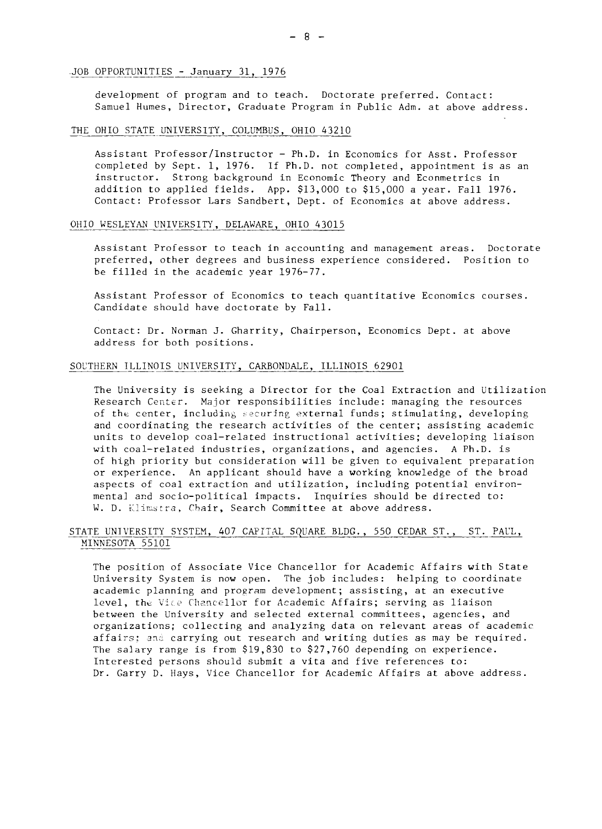# .<br>JOB OPPORTUNITIES - January 31, 1976<br>development of program and to tea

development of program and to teach. Doctorate preferred. Contact: Samuel Humes, Director, Graduate Program in Public Adm. at above address.

## THE OHIO STATE UNIVERSITY, COLUMBUS, OHIO 43210

Assistant Professor/Instructor - Ph.D. in Economics for Asst. Professor completed by Sept. 1, 1976. If Ph.D. not completed, appointment is as an instructor. Strong background in Economic Theory and Econmetrics in addition to applied fields. App. \$13,000 to \$15,000 a year. Fall 1976. Contact: Professor Lars Sandbert, Dept. of Economics at above address.

#### OHIO WESLEYAN UNIVERSITY, DELAWARE, OHIO 43015

Assistant Professor to teach in accounting and management areas. Doctorate preferred, other degrees and business experience considered. Position to be filled in the academic year 1976-77.

Assistant Professor of Economics to teach quantitative Economics courses Candidate should have doctorate by Fall.

Contact: Dr. Norman J. Gharrity, Chairperson, Economics Dept. at above address for both positions. Contact: Dr. Norman J. Gharrity, Chairperson, Economi<br>address for both positions.<br>SOUTHERN ILLINOIS UNIVERSITY, CARBONDALE, ILLINOIS 62901

The University is seeking a Director for the Coal Extraction and Utilization Research Center. Major responsibilities include: managing the resources of the center, including securing external funds; stimulating, developing and coordinating the research activities of the center; assisting academic units to develop coal-related instructional activities; developing liaison with coal-related industries, organizations, and agencies. A Ph.D. is of high priority but consideration will be given to equivalent preparation or experience. An applicant should have a working knowledge of the broad aspects of coal extraction and utilization, including potential environmental and socio-political impacts. Inquiries should be directed to: W. D. Klimstra, Chair, Search Committee at above address.

#### STATE UNIVERSITY SYSTEM, 407 CAPITAL SQUARE BLDG., 550 CEDAR ST., ST. PAUL, MINNESOTA 55101

The position of Associate Vice Chancellor for Academic Affairs with State University System is now open. The job includes: helping to coordinate academic planning and program development; assisting, at an executive level, the Vice Chancellor for Academic Affairs; serving as liaison between the University and selected external committees, agencies, and organizations; collecting and analyzing data on relevant areas of academic affairs: and carrying out research and writing duties as may be required. The salary range is from \$19,830 to \$27,760 depending on experience. Interested persons should submit a vita and five references to: Dr. Garry D. Hays, Vice Chancellor for Academic Affairs at above address.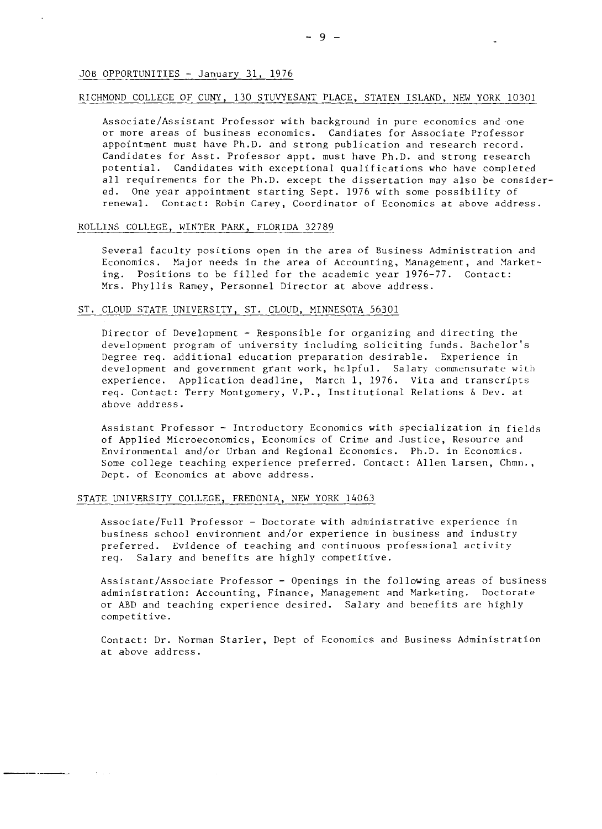#### RICHMOND COLLEGE OF CUNY, 130 STUVYESANT PLACE, STATEN ISLAND, NEW YORK 10301

Associate/Assistant Professor with background in pure economics and one or more areas of business economics. Candiates for Associate Professor appointment must have Ph.D. and strong publication and research record. Candidates for Asst. Professor appt. must have Ph.D. and strong research potential. Candidates with exceptional qualifications who have completed all requirements for the Ph.D. except the dissertation may also be considered. One year appointment starting Sept. 1976 with some possibility of renewal. Contact: Robin Carey, Coordinator of Economics at above address.

# renewal. Contact: Kobin Carey, Coordina<br>ROLLINS COLLEGE, WINTER PARK, FLORIDA 32789

Several faculty positions open in the area of Business Administration and Economics. Major needs in the area of Accounting, Management, and Yarketing. Positions to be filled for the academic year 1976-77. Contact: Mrs. Phyllis Ramey, Personnel Director at above address.

#### ST. CLOUD STATE UNIVERSITY, ST. CLOUD, MINNESOTA 56301

Director of Development - Responsible for organizing and directing the development program of university including soliciting funds. Bachelor's Degree req. additional education preparation desirable. Experience in development and government grant work, helpful. Salary commensurate with experience. Application deadline, March 1, 1976. Vita and transcripts req. Contact: Terry Montgomery, V.P., Institutional Relations & Dev. at above address.

Assistant Professor - Introductory Economics with specialization in fields of Applied Microeconomics, Economics of Crime and Justice, Resource and Environmental and/or Urban and Regional Economics. Ph.D. in Economics. Some college teaching experience preferred. Contact: Allen Larsen, Chmn., Dept. of Economics at above address.

#### STATE UNIVERSITY COLLEGE, FREDONIA, NEW YORK 14063

Associate/Full Professor - Doctorate with administrative experience in business school environment and/or experience in business and industry preferred. Evidence of teaching and continuous professional activity req. Salary and benefits are highly competitive.

Assistant/Associate Professor - Openings in the following areas of business administration: Accounting, Finance, Management and Marketing. Doctorate or ABD and teaching experience desired. Salary and benefits are highly competitive.

Contact: Dr. Norman Starler, Dept of Economics and Business Administration at above address.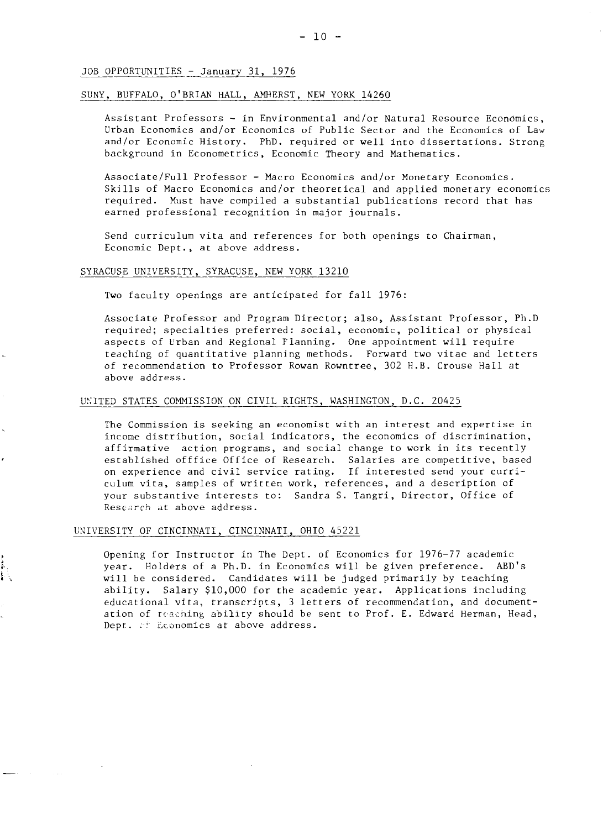#### SUNY, BUFFALO, O'BRIAN HALL, AMHERST, NEW YORK 14260

Assistant Professors - in Environmental and/or Natural Resource Econdmics, Urban Economics and/or Economics of Public Sector and the Economics of Law and/or Economic History. PhD. required or well into dissertations. Strong background in Econometrics, Economic Theory and Mathematics.

Associate/Full Professor - Macro Economics and/or Monetary Economics. Skills of Macro Economics and/or theoretical and applied monetary economics required. Must have compiled a substantial publications record that has earned professional recognition in major journals.

Send curriculum vita and references for both openings to Chairman, Economic Dept., at above address.

#### SYRACUSE UNIVERSITY, SYRACUSE, NEW YORK 13210

Two faculty openings are anticipated for fall 1976:

Associate Professor and Program Director; also, Assistant Professor, Ph.D required; specialties preferred: social, economic, political or physical aspects of Urban and Regional Flanning. One appointment will require teaching of quantitative planning methods. Forward two vitae and letters of recommendation to Professor Rowan Rowntree, 302 H.B. Crouse Hall at above address.

#### UNITED STATES COMMISSION ON CIVIL RIGHTS, WASHINGTON, D.C. 20425

The Commission is seeking an economist with an interest and expertise in income distribution, social indicators, the economics of discrimination, affirmative action programs, and social change to work in its recently established offfice Office of Research. Salaries are competitive, based on experience and civil service rating. If interested send your curriculum vita, samples of written work, references, and a description of your substantive interests to: Sandra S. Tangri, Director, Office of Research at above address.

#### UNIVERSITY OF CINCINNATI, CINCINNATI, OHIO 45221

Opening for Instructor in The Dept. of Economics for 1976-77 academic year. Holders of a Ph.D. in Economics will be given preference. ABD's will be considered. Candidates will be judged primarily by teaching ability. Salary \$10,000 for the academic year. Applications including educational vita, transcripts, 3 letters of recommendation, and documentation of teaching ability should be sent to Prof. E. Edward Herman, Head, Dept. of Economics at above address.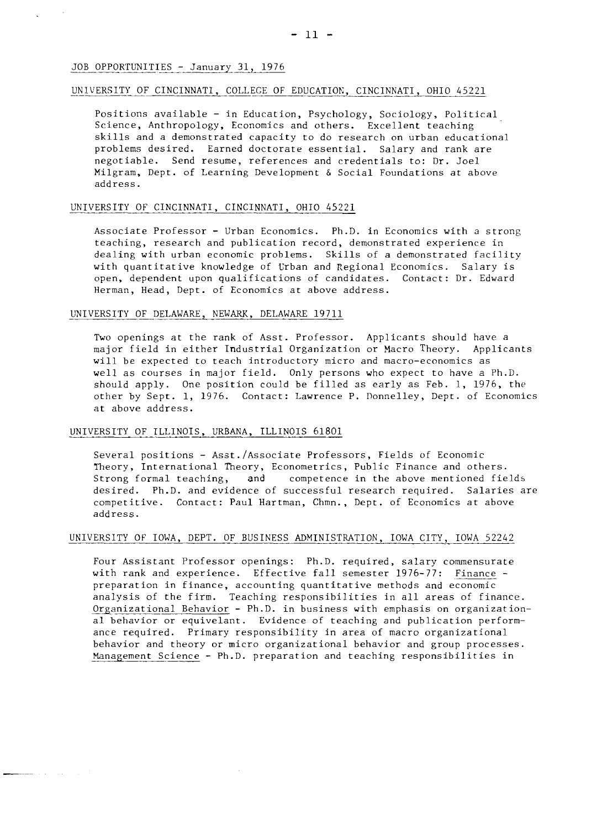#### <u>JOB OPPORTUNITI</u><br>UNIVERSITY OF C OF CINCINNATI, COLLEGE OF EDUCATIOK, CINCINNATI, OHIO 45221

Positions available - in Education, Psychology, Sociology, Political Science, Anthropology, Economics and others. Excellent teaching skills and a demonstrated capacity to do research on urban educational problems desired. Earned doctorate essential. Salary and rank are negotiable. Send resume, references and credentials to: Dr. Joel Milgram, Dept. of Learning Development & Social Foundations at above address.

#### UNIVERSITY OF CINCINNATI, CINCINNATI, OHIO 45221

Associate Professor - Urban Economics. Ph.D. in Economics with a strong teaching, research and publication record, demonstrated experience in dealing with urban economic problems. Skills of a demonstrated facility with quantitative knowledge of Urban and Regional Economics. Salary is open, dependent upon qualifications of candidates. Contact: Dr. Edward Herman, Head, Dept. of Economics at above address.

# Herman, Head, Dept. of Economics at above a

Two openings at the rank of Asst. Professor. Applicants should have a major field in either Industrial Organization or Macro Theory. Applicants will be expected to teach introductory micro and macro-economics as well as courses in major field. Only persons who expect to have a Ph.D. should apply. One position could be filled as early as Feb. 1, 1976, the other by Sept. 1, 1976. Contact: Lawrence P. Donnelley, Dept. of Economics at above address.

#### UNIVERSITY OF ILLINOIS, URBANA, ILLINOIS 61801

Several positions - Asst./Associate Professors, Fields of Economic Theory, International Theory, Econometrics, Public Finance and others. Strong formal teaching, and competence in the above mentioned fields desired. Ph.D. and evidence of successful research required. Salaries are competitive. Contact: Paul Hartman, Chmn., Dept. of Economics at above address.

# UNIVERSITY OF IOWA, DEPT. OF BUSINESS ADMINISTRATION, IOWA CITY, IOWA 52242

Four Assistant Professor openings: Ph.D. required, salary commensurate with rank and experience. Effective fall semester 1976-77: Finance preparation in finance, accounting quantitative methods and economic analysis of the firm. Teaching responsibilities in all areas of finance. analysis of the firm. Teaching responsibilities in all areas of finance.<br>Organizational Behavior - Ph.D. in business with emphasis on organization-<br>al behavior or equivalent. Evidence of teaching and publication perform a1 behavior or equivelant. Evidence of teaching and publication performance required. Primary responsibility in area of macro organizational behavior and theory or micro organizational behavior and group processes. behavior and theory or micro organizational behavior and group processes<br><u>Management Science</u> – Ph.D. preparation and teaching responsibilities in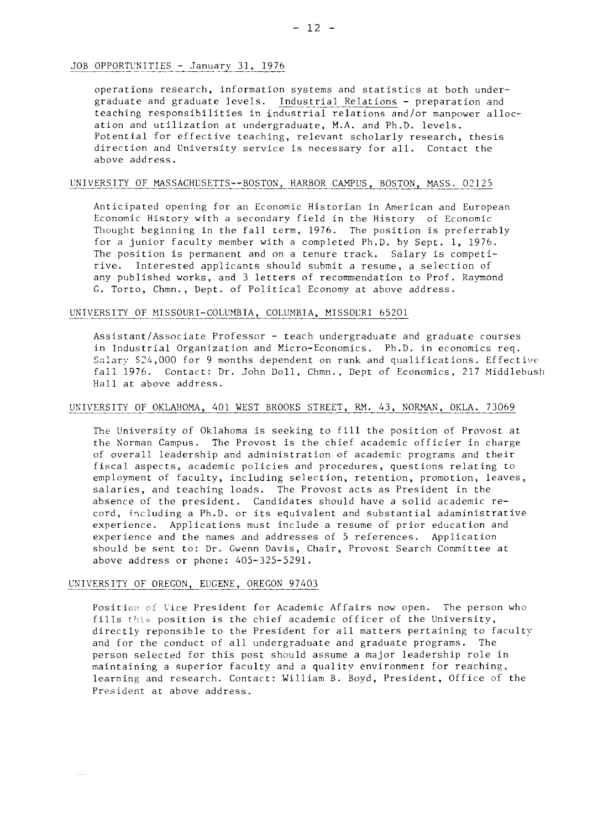# <u>JOB OPPORTUNITIES - January 31, 19</u>

- 12<br>31, 1976<br>ormation system operations research, information systems and statistics at both under-OPPORTUNITIES - January 31, 1976<br>operations research, information systems and statistics at both under-<br>graduate and graduate levels. <u>Industrial Relations</u> - preparation and<br>teaching responsibilities in industrial relatio teaching responsibilities in industrial relations and/or manpower allocation and utilization at undergraduate, M.A. and Ph.D. levels. Potential for effective teaching, relevant scholarly research, thesis direction and University service is necessary for all. Contact the above address.

#### UNIVERSITY OF MASSACHUSETTS--BOSTON, HARBOR CAMPUS, BOSTON, MASS. 02125

Anticipated opening for an Economic Historian in American and European Economic History with a secondary field in the History of Economic Thought beginning in the fall term, 1976. The position is preferrably for a junior faculty member with a completed Ph.D. by Sept. 1, 1976. The position is permanent and on a tenure track. Salary is competirive. Interested applicsnts should submit a resume, a selection of any published works, and 3 letters of recommendation to Prof. Raymond G. Torto, Chmn., Dept. of Political Economy at above address. any published works, and 3 letters of recommendation t<br>G. Torto, Chmn., Dept. of Political Economy at above a<br>UNIVERSITY OF MISSOURI-COLUMBIA, COLUMBIA, MISSOURI 65201

Assistant/Associate Professor - teach undergraduate and graduate courses in Industrial Organization and Micro-Economics. Ph.D. in economics req. Salary \$24,000 for 9 months dependent on rank and qualifications. Effective fall 1976. Contact: Dr. John Doll, Chmn., Dept of Economics, 217 Middlebush Hall at above address.

#### UNIVERSITY OF OKLAHOMA, 401 WEST BROOKS STREET, RM. 43, NORMAN, OKLA. 73069

The University of Oklahoma is seeking to fill the position of Provost at the Norman Campus. The Provost is the chief academic officier in charge of overall leadership and administration of academic programs and their fiscal aspects, academic policies and procedures, questions relating to employment of faculty, including selection, retention, promotion, leaves, salaries, and teaching loads. The Provost acts as President in the absence of the president. Candidates should have a solid academic record, including a Ph.D. or its equivalent and substantial adaministrative experience. Applications must include a resume of prior education and experience and the names and addresses of 5 references. Application should be sent to: Dr. Gwenn Davis, Chair, Provost Search Committee at above address or phone: 405-325-5291.

#### UNIVERSITY OF OREGON, EUGENE, OREGON 97403

Position of Vice President for Academic Affairs now open. The person who fills this position is the chief academic officer of the University, directly reponsible to the President for all matters pertaining to faculty and for the conduct of all undergraduate and graduate programs. The person selected for this post should assume a major leadership role in maintaining a superior faculty and a quality environment for reaching, learning and research. Contact: William B. Boyd, President, Office of the President at above address.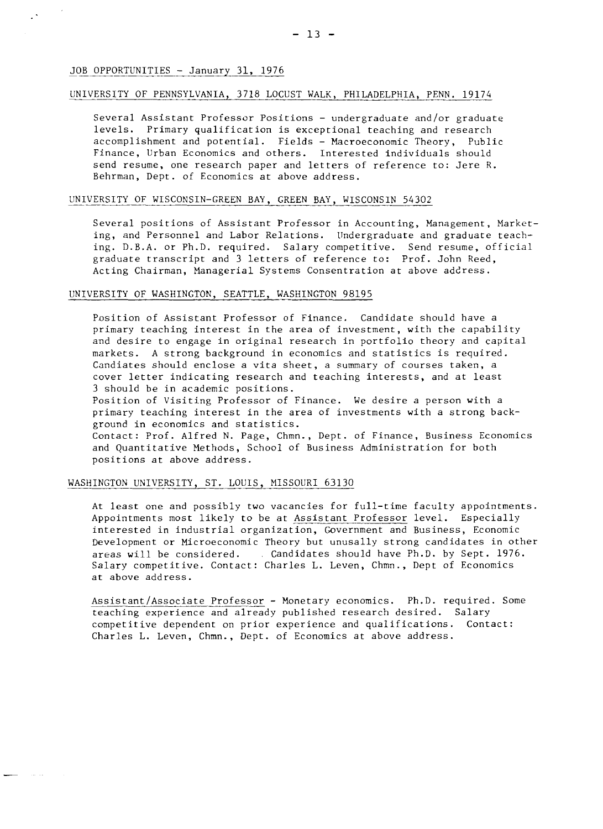#### UNIVERSITY OF PENNSYLVANIA, 3718 LOCUST WALK, PHILADELPHIA, PENN. 19174

Several Assistant Professor Positions - undergraduate and/or graduate levels. Primary qualification is exceptional teaching and research accomplishment and potential. Fields - Macroeconomic Theory, Public Finance, Urban Economics and others. Interested individuals should send resume, one research paper and letters of reference to: Jere R. Behrman, Dept. of Economics at above address.

#### UNIVERSITY OF WISCONSIN-GREEN BAY, GREEN BAY, WISCONSIN 54302

Several positions of Assistant Professor in Accounting, Management, Marketing, and Personnel and Labor Relations. Undergraduate and graduate teaching. D.B.A. or Ph.D. required. Salary competitive. Send resume, official graduate transcript and 3 letters of reference to: Prof. John Reed, Acting Chairman, Managerial Systems Consentration at above address.

#### UNIVERSITY OF WASHINGTON, SEATTLE, WASHINGTON 98195

Position of Assistant Professor of Finance. Candidate should have a primary teaching interest in the area of investment, with the capability and desire to engage in original research in portfolio theory and capital markets. A strong background in economics and statistics is required. Candiates should enclose a vita sheet, a summary of courses taken, a cover letter indicating research and teaching interests, and at least 3 should be in academic positions.

Position of Visiting Professor of Finance. We desire a person with a primary teaching interest in the area of investments with a strong background in economics and statistics.

Contact: Prof. Alfred N. Page, Chmn., Dept. of Finance, Business Economics and Quantitative Methods, School of Business Administration for both positions at above address.

#### WASHINGTON UNIVERSITY, ST. LOUIS, MISSOURI 63130

At least one and possibly two vacancies for full-time faculty appointments. Appointments most likely to be at Assistant Professor level. Especially interested in industrial organization, Government and Business, Economic Development or Microeconomic Theory but unusally strong candidates in other areas will be considered. . Candidates should have Ph.D. by Sept. 1976. Salary competitive. Contact: Charles L. Leven, Chmn., Dept of Economics at above address.

Assistant/Associate Professor - Monetary economics. Ph.D. required. Some teaching experience and already published research desired. Salary competitive dependent on prior experience and qualifications. Contact: Charles L. Leven, Chmn., Dept. of Economics at above address.